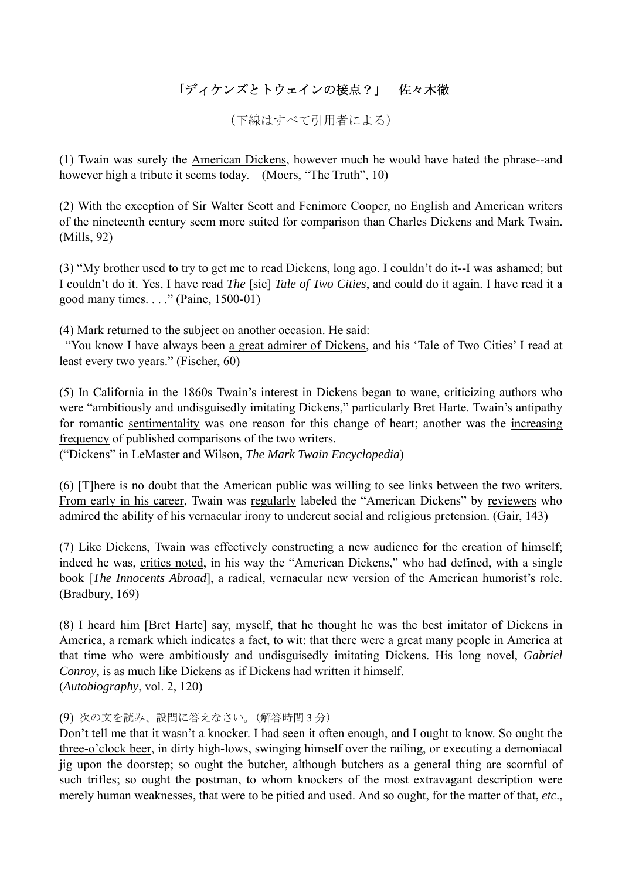## 「ディケンズとトウェインの接点?」 佐々木徹

(下線はすべて引用者による)

(1) Twain was surely the American Dickens, however much he would have hated the phrase--and however high a tribute it seems today. (Moers, "The Truth", 10)

(2) With the exception of Sir Walter Scott and Fenimore Cooper, no English and American writers of the nineteenth century seem more suited for comparison than Charles Dickens and Mark Twain. (Mills, 92)

(3) "My brother used to try to get me to read Dickens, long ago. I couldn't do it--I was ashamed; but I couldn't do it. Yes, I have read *The* [sic] *Tale of Two Cities*, and could do it again. I have read it a good many times. . . ." (Paine, 1500-01)

(4) Mark returned to the subject on another occasion. He said:

 "You know I have always been a great admirer of Dickens, and his 'Tale of Two Cities' I read at least every two years." (Fischer, 60)

(5) In California in the 1860s Twain's interest in Dickens began to wane, criticizing authors who were "ambitiously and undisguisedly imitating Dickens," particularly Bret Harte. Twain's antipathy for romantic sentimentality was one reason for this change of heart; another was the increasing frequency of published comparisons of the two writers.

("Dickens" in LeMaster and Wilson, *The Mark Twain Encyclopedia*)

(6) [T]here is no doubt that the American public was willing to see links between the two writers. From early in his career, Twain was regularly labeled the "American Dickens" by reviewers who admired the ability of his vernacular irony to undercut social and religious pretension. (Gair, 143)

(7) Like Dickens, Twain was effectively constructing a new audience for the creation of himself; indeed he was, critics noted, in his way the "American Dickens," who had defined, with a single book [*The Innocents Abroad*], a radical, vernacular new version of the American humorist's role. (Bradbury, 169)

(8) I heard him [Bret Harte] say, myself, that he thought he was the best imitator of Dickens in America, a remark which indicates a fact, to wit: that there were a great many people in America at that time who were ambitiously and undisguisedly imitating Dickens. His long novel, *Gabriel Conroy*, is as much like Dickens as if Dickens had written it himself. (*Autobiography*, vol. 2, 120)

## (9) 次の文を読み、設問に答えなさい。(解答時間 3 分)

Don't tell me that it wasn't a knocker. I had seen it often enough, and I ought to know. So ought the three-o'clock beer, in dirty high-lows, swinging himself over the railing, or executing a demoniacal jig upon the doorstep; so ought the butcher, although butchers as a general thing are scornful of such trifles; so ought the postman, to whom knockers of the most extravagant description were merely human weaknesses, that were to be pitied and used. And so ought, for the matter of that, *etc*.,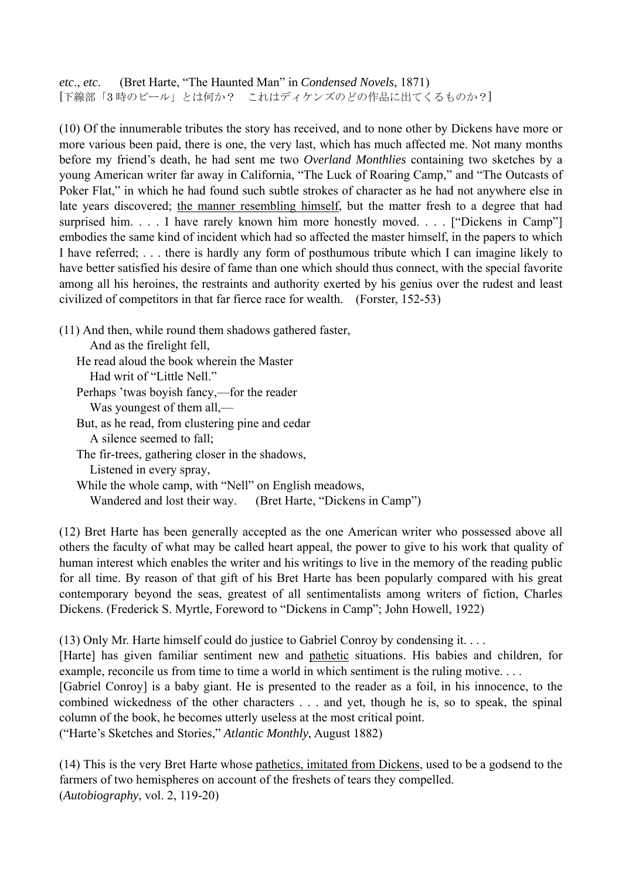*etc*., *etc*. (Bret Harte, "The Haunted Man" in *Condensed Novels*, 1871) [下線部「3 時のビール」とは何か? これはディケンズのどの作品に出てくるものか?]

(10) Of the innumerable tributes the story has received, and to none other by Dickens have more or more various been paid, there is one, the very last, which has much affected me. Not many months before my friend's death, he had sent me two *Overland Monthlies* containing two sketches by a young American writer far away in California, "The Luck of Roaring Camp," and "The Outcasts of Poker Flat," in which he had found such subtle strokes of character as he had not anywhere else in late years discovered; the manner resembling himself, but the matter fresh to a degree that had surprised him. . . . I have rarely known him more honestly moved. . . . ["Dickens in Camp"] embodies the same kind of incident which had so affected the master himself, in the papers to which I have referred; . . . there is hardly any form of posthumous tribute which I can imagine likely to have better satisfied his desire of fame than one which should thus connect, with the special favorite among all his heroines, the restraints and authority exerted by his genius over the rudest and least civilized of competitors in that far fierce race for wealth. (Forster, 152-53)

(11) And then, while round them shadows gathered faster, And as the firelight fell, He read aloud the book wherein the Master Had writ of "Little Nell." Perhaps 'twas boyish fancy,—for the reader Was youngest of them all,— But, as he read, from clustering pine and cedar A silence seemed to fall; The fir-trees, gathering closer in the shadows, Listened in every spray, While the whole camp, with "Nell" on English meadows, Wandered and lost their way. (Bret Harte, "Dickens in Camp")

(12) Bret Harte has been generally accepted as the one American writer who possessed above all others the faculty of what may be called heart appeal, the power to give to his work that quality of human interest which enables the writer and his writings to live in the memory of the reading public for all time. By reason of that gift of his Bret Harte has been popularly compared with his great contemporary beyond the seas, greatest of all sentimentalists among writers of fiction, Charles Dickens. (Frederick S. Myrtle, Foreword to "Dickens in Camp"; John Howell, 1922)

(13) Only Mr. Harte himself could do justice to Gabriel Conroy by condensing it. . . .

[Harte] has given familiar sentiment new and pathetic situations. His babies and children, for example, reconcile us from time to time a world in which sentiment is the ruling motive. . . .

[Gabriel Conroy] is a baby giant. He is presented to the reader as a foil, in his innocence, to the combined wickedness of the other characters . . . and yet, though he is, so to speak, the spinal column of the book, he becomes utterly useless at the most critical point.

("Harte's Sketches and Stories," *Atlantic Monthly*, August 1882)

(14) This is the very Bret Harte whose pathetics, imitated from Dickens, used to be a godsend to the farmers of two hemispheres on account of the freshets of tears they compelled. (*Autobiography*, vol. 2, 119-20)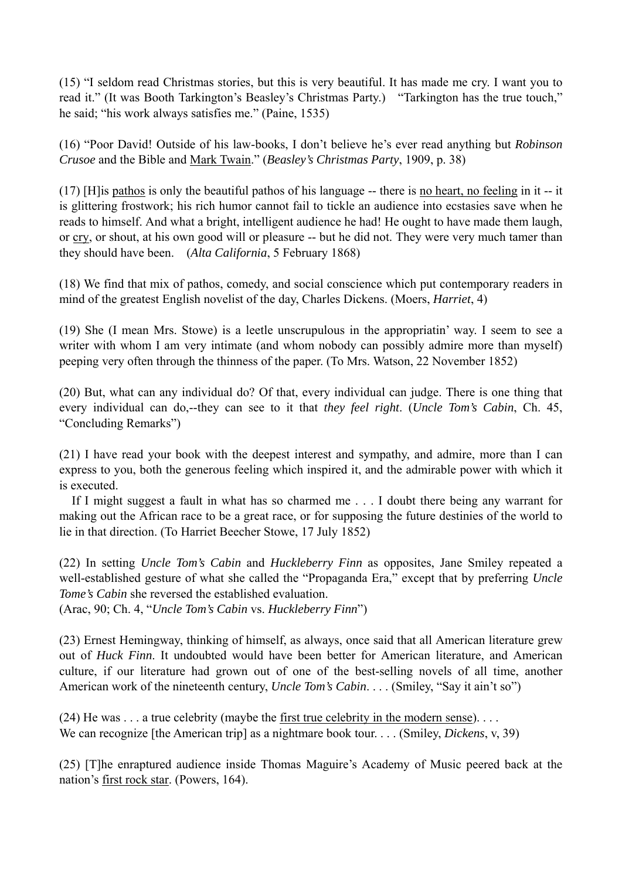(15) "I seldom read Christmas stories, but this is very beautiful. It has made me cry. I want you to read it." (It was Booth Tarkington's Beasley's Christmas Party.) "Tarkington has the true touch," he said; "his work always satisfies me." (Paine, 1535)

(16) "Poor David! Outside of his law-books, I don't believe he's ever read anything but *Robinson Crusoe* and the Bible and Mark Twain." (*Beasley's Christmas Party*, 1909, p. 38)

(17) [H]is pathos is only the beautiful pathos of his language -- there is no heart, no feeling in it -- it is glittering frostwork; his rich humor cannot fail to tickle an audience into ecstasies save when he reads to himself. And what a bright, intelligent audience he had! He ought to have made them laugh, or cry, or shout, at his own good will or pleasure -- but he did not. They were very much tamer than they should have been. (*Alta California*, 5 February 1868)

(18) We find that mix of pathos, comedy, and social conscience which put contemporary readers in mind of the greatest English novelist of the day, Charles Dickens. (Moers, *Harriet*, 4)

(19) She (I mean Mrs. Stowe) is a leetle unscrupulous in the appropriatin' way. I seem to see a writer with whom I am very intimate (and whom nobody can possibly admire more than myself) peeping very often through the thinness of the paper. (To Mrs. Watson, 22 November 1852)

(20) But, what can any individual do? Of that, every individual can judge. There is one thing that every individual can do,--they can see to it that *they feel right*. (*Uncle Tom's Cabin*, Ch. 45, "Concluding Remarks")

(21) I have read your book with the deepest interest and sympathy, and admire, more than I can express to you, both the generous feeling which inspired it, and the admirable power with which it is executed.

If I might suggest a fault in what has so charmed me . . . I doubt there being any warrant for making out the African race to be a great race, or for supposing the future destinies of the world to lie in that direction. (To Harriet Beecher Stowe, 17 July 1852)

(22) In setting *Uncle Tom's Cabin* and *Huckleberry Finn* as opposites, Jane Smiley repeated a well-established gesture of what she called the "Propaganda Era," except that by preferring *Uncle Tome's Cabin* she reversed the established evaluation.

(Arac, 90; Ch. 4, "*Uncle Tom's Cabin* vs. *Huckleberry Finn*")

(23) Ernest Hemingway, thinking of himself, as always, once said that all American literature grew out of *Huck Finn*. It undoubted would have been better for American literature, and American culture, if our literature had grown out of one of the best-selling novels of all time, another American work of the nineteenth century, *Uncle Tom's Cabin*. . . . (Smiley, "Say it ain't so")

 $(24)$  He was ... a true celebrity (maybe the first true celebrity in the modern sense)... We can recognize [the American trip] as a nightmare book tour. . . . (Smiley, *Dickens*, v, 39)

(25) [T]he enraptured audience inside Thomas Maguire's Academy of Music peered back at the nation's first rock star. (Powers, 164).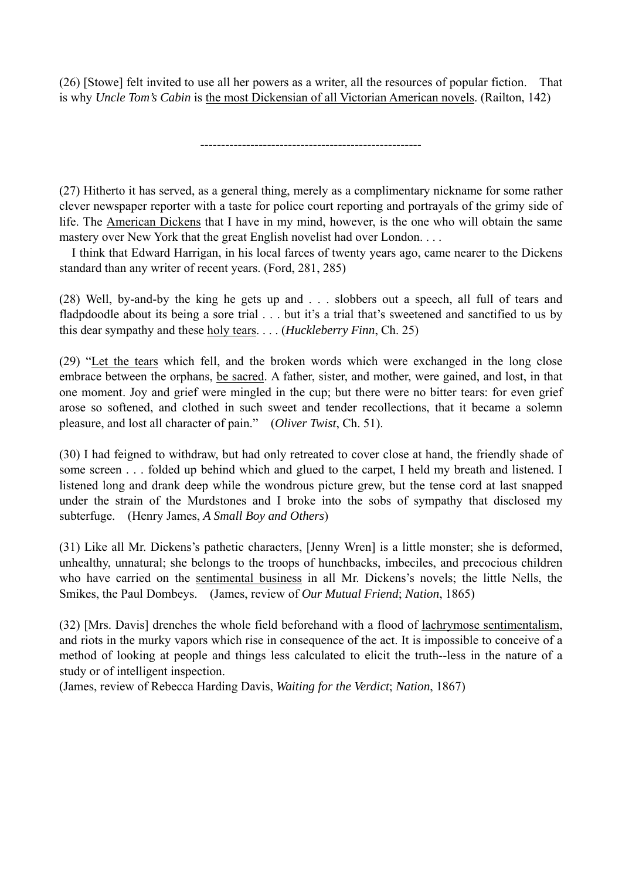(26) [Stowe] felt invited to use all her powers as a writer, all the resources of popular fiction. That is why *Uncle Tom's Cabin* is the most Dickensian of all Victorian American novels. (Railton, 142)

-----------------------------------------------------

(27) Hitherto it has served, as a general thing, merely as a complimentary nickname for some rather clever newspaper reporter with a taste for police court reporting and portrayals of the grimy side of life. The American Dickens that I have in my mind, however, is the one who will obtain the same mastery over New York that the great English novelist had over London. . . .

 I think that Edward Harrigan, in his local farces of twenty years ago, came nearer to the Dickens standard than any writer of recent years. (Ford, 281, 285)

(28) Well, by-and-by the king he gets up and . . . slobbers out a speech, all full of tears and fladpdoodle about its being a sore trial . . . but it's a trial that's sweetened and sanctified to us by this dear sympathy and these holy tears. . . . (*Huckleberry Finn*, Ch. 25)

(29) "Let the tears which fell, and the broken words which were exchanged in the long close embrace between the orphans, be sacred. A father, sister, and mother, were gained, and lost, in that one moment. Joy and grief were mingled in the cup; but there were no bitter tears: for even grief arose so softened, and clothed in such sweet and tender recollections, that it became a solemn pleasure, and lost all character of pain." (*Oliver Twist*, Ch. 51).

(30) I had feigned to withdraw, but had only retreated to cover close at hand, the friendly shade of some screen . . . folded up behind which and glued to the carpet, I held my breath and listened. I listened long and drank deep while the wondrous picture grew, but the tense cord at last snapped under the strain of the Murdstones and I broke into the sobs of sympathy that disclosed my subterfuge. (Henry James, *A Small Boy and Others*)

(31) Like all Mr. Dickens's pathetic characters, [Jenny Wren] is a little monster; she is deformed, unhealthy, unnatural; she belongs to the troops of hunchbacks, imbeciles, and precocious children who have carried on the sentimental business in all Mr. Dickens's novels; the little Nells, the Smikes, the Paul Dombeys. (James, review of *Our Mutual Friend*; *Nation*, 1865)

(32) [Mrs. Davis] drenches the whole field beforehand with a flood of lachrymose sentimentalism, and riots in the murky vapors which rise in consequence of the act. It is impossible to conceive of a method of looking at people and things less calculated to elicit the truth--less in the nature of a study or of intelligent inspection.

(James, review of Rebecca Harding Davis, *Waiting for the Verdict*; *Nation*, 1867)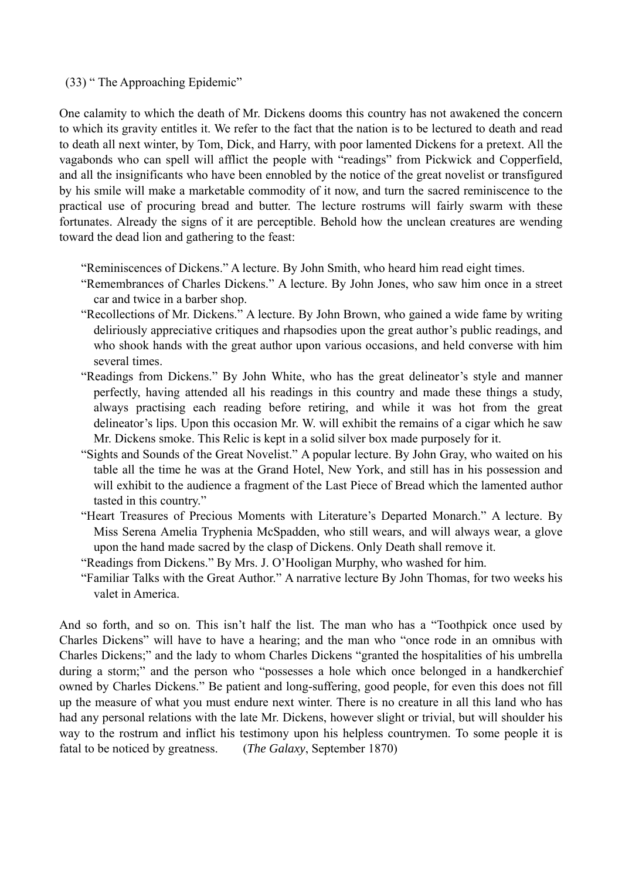## (33) " The Approaching Epidemic"

One calamity to which the death of Mr. Dickens dooms this country has not awakened the concern to which its gravity entitles it. We refer to the fact that the nation is to be lectured to death and read to death all next winter, by Tom, Dick, and Harry, with poor lamented Dickens for a pretext. All the vagabonds who can spell will afflict the people with "readings" from Pickwick and Copperfield, and all the insignificants who have been ennobled by the notice of the great novelist or transfigured by his smile will make a marketable commodity of it now, and turn the sacred reminiscence to the practical use of procuring bread and butter. The lecture rostrums will fairly swarm with these fortunates. Already the signs of it are perceptible. Behold how the unclean creatures are wending toward the dead lion and gathering to the feast:

"Reminiscences of Dickens." A lecture. By John Smith, who heard him read eight times.

- "Remembrances of Charles Dickens." A lecture. By John Jones, who saw him once in a street car and twice in a barber shop.
- "Recollections of Mr. Dickens." A lecture. By John Brown, who gained a wide fame by writing deliriously appreciative critiques and rhapsodies upon the great author's public readings, and who shook hands with the great author upon various occasions, and held converse with him several times.
- "Readings from Dickens." By John White, who has the great delineator's style and manner perfectly, having attended all his readings in this country and made these things a study, always practising each reading before retiring, and while it was hot from the great delineator's lips. Upon this occasion Mr. W. will exhibit the remains of a cigar which he saw Mr. Dickens smoke. This Relic is kept in a solid silver box made purposely for it.
- "Sights and Sounds of the Great Novelist." A popular lecture. By John Gray, who waited on his table all the time he was at the Grand Hotel, New York, and still has in his possession and will exhibit to the audience a fragment of the Last Piece of Bread which the lamented author tasted in this country."
- "Heart Treasures of Precious Moments with Literature's Departed Monarch." A lecture. By Miss Serena Amelia Tryphenia McSpadden, who still wears, and will always wear, a glove upon the hand made sacred by the clasp of Dickens. Only Death shall remove it.
- "Readings from Dickens." By Mrs. J. O'Hooligan Murphy, who washed for him.
- "Familiar Talks with the Great Author." A narrative lecture By John Thomas, for two weeks his valet in America.

And so forth, and so on. This isn't half the list. The man who has a "Toothpick once used by Charles Dickens" will have to have a hearing; and the man who "once rode in an omnibus with Charles Dickens;" and the lady to whom Charles Dickens "granted the hospitalities of his umbrella during a storm;" and the person who "possesses a hole which once belonged in a handkerchief owned by Charles Dickens." Be patient and long-suffering, good people, for even this does not fill up the measure of what you must endure next winter. There is no creature in all this land who has had any personal relations with the late Mr. Dickens, however slight or trivial, but will shoulder his way to the rostrum and inflict his testimony upon his helpless countrymen. To some people it is fatal to be noticed by greatness. (*The Galaxy*, September 1870)